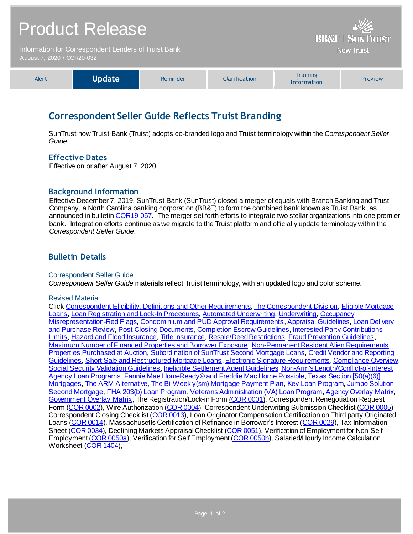# Product Release

Information for Correspondent Lenders of Truist Bank August 7, 2020 **•** COR20-032



**BB&T | SUNTRUST Now Truist** 

# **Correspondent Seller Guide Reflects Truist Branding**

SunTrust now Truist Bank (Truist) adopts co-branded logo and Truist terminology within the *Correspondent Seller Guide*.

# **Effective Dates**

Effective on or after August 7, 2020.

### **Background Information**

Effective December 7, 2019, SunTrust Bank (SunTrust) closed a merger of equals with Branch Banking and Trust Company, a North Carolina banking corporation (BB&T) to form the combined bank known as Truist Bank , as announced in bulleti[n COR19-057.](https://www.truistsellerguide.com/Manual/cor/bulletins/archive/Cr19-057.pdf) The merger set forth efforts to integrate two stellar organizations into one premier bank. Integration efforts continue as we migrate to the Truist platform and officially update terminology within the *Correspondent Seller Guide*.

# **Bulletin Details**

#### Correspondent Seller Guide

*Correspondent Seller Guide* materials reflect Truist terminology, with an updated logo and color scheme.

#### Revised Material

Clic[k Correspondent Eligibility, Definitions and Other Requirements](https://www.truistsellerguide.com/Manual/cor/general/1.00CorrAgreement.pdf)[, The Correspondent Division,](https://www.truistsellerguide.com/Manual/cor/general/1.01CorrespondentDept.pdf) [Eligible Mortgage](https://www.truistsellerguide.com/Manual/cor/general/1.02eligmtg.pdf)  [Loans,](https://www.truistsellerguide.com/Manual/cor/general/1.02eligmtg.pdf) [Loan Registration and Lock-In Procedures](https://www.truistsellerguide.com/Manual/cor/general/1.03Lockin.pdf)[, Automated Underwriting](https://www.truistsellerguide.com/Manual/cor/general/1.04AUS.pdf)[, Underwriting](https://www.truistsellerguide.com/Manual/cor/general/1.05Underwriting.pdf)[, Occupancy](https://www.truistsellerguide.com/Manual/cor/general/1.05aOccupancyMisrepresentation-Red%20Flags.pdf)  [Misrepresentation-Red Flags](https://www.truistsellerguide.com/Manual/cor/general/1.05aOccupancyMisrepresentation-Red%20Flags.pdf)[, Condominium and PUD Approval Requirements](https://www.truistsellerguide.com/Manual/cor/general/1.06CondoPUD.pdf)[, Appraisal Guidelines](https://www.truistsellerguide.com/Manual/cor/general/1.07Appraisals.pdf)[, Loan Delivery](https://www.truistsellerguide.com/Manual/cor/general/1.08LoanDel.pdf)  [and Purchase Review,](https://www.truistsellerguide.com/Manual/cor/general/1.08LoanDel.pdf) [Post Closing Documents](https://www.truistsellerguide.com/Manual/cor/general/1.11PostCls.pdf)[, Completion Escrow Guidelines](https://www.truistsellerguide.com/Manual/cor/general/1.12CompletionEscrow.pdf), Interested Party Contributions [Limits](https://www.truistsellerguide.com/Manual/cor/general/1.13InterestedPartyContributionsLimits.pdf)[, Hazard and Flood Insurance](https://www.truistsellerguide.com/Manual/cor/general/1.14Hazard.pdf)[, Title Insurance](https://www.truistsellerguide.com/Manual/cor/general/1.16titleins.pdf)[, Resale/Deed Restrictions](https://www.truistsellerguide.com/Manual/cor/general/1.16aResaleDeedRestrictions.pdf)[, Fraud Prevention Guidelines](https://www.truistsellerguide.com/Manual/cor/general/1.19FraudPreventionGuidelines.pdf), [Maximum Number of Financed Properties and Borrower Exposure](https://www.truistsellerguide.com/Manual/cor/general/1.22MaximumNumberofFinancedPropertiesandBorrowerExposure.pdf)[, Non-Permanent Resident Alien Requirements](https://www.truistsellerguide.com/Manual/cor/general/1.24NonPermanentResidentAlienRequirements.pdf), [Properties Purchased at Auction](https://www.truistsellerguide.com/Manual/cor/general/1.25Properties%20Purchased%20at%20Auction.pdf)[, Subordination of SunTrust Second Mortgage Loans](https://www.truistsellerguide.com/Manual/cor/general/1.26SubordinationofSunTrustSecondMortgageLoans.pdf)[, Credit Vendor and Reporting](https://www.truistsellerguide.com/Manual/cor/general/1.27CreditVendorandReportingGuidelines.pdf)  [Guidelines,](https://www.truistsellerguide.com/Manual/cor/general/1.27CreditVendorandReportingGuidelines.pdf) [Short Sale and Restructured Mortgage Loans](https://www.truistsellerguide.com/Manual/cor/general/1.28ShortSaleandRestructuredMortgageLoans.pdf)[, Electronic Signature Requirements](https://www.truistsellerguide.com/Manual/cor/general/1.32ESignature%20Requirements.pdf)[, Compliance Overview,](https://www.truistsellerguide.com/Manual/cor/general/1.35Compliance.pdf) [Social Security Validation Guidelines](https://www.truistsellerguide.com/Manual/cor/general/1.36SocialSecurity.pdf)[, Ineligible Settlement Agent Guidelines](https://www.truistsellerguide.com/Manual/cor/general/1.39IneligibleSettlementAgentGuidelines.pdf)[, Non-Arm's Length/Conflict-of-Interest](https://www.truistsellerguide.com/Manual/cor/general/1.40NonArmsLength.pdf), [Agency Loan Programs](https://www.truistsellerguide.com/Manual/cor/products/CAgency.pdf)[, Fannie Mae HomeReady® and Freddie Mac Home Possible](https://www.truistsellerguide.com/Manual/cor/products/CHomeReadyandHomePossible.pdf)[, Texas Section \[50\(a\)\(6\)\]](https://www.truistsellerguide.com/Manual/cor/products/CTexasRefi.pdf)  [Mortgages,](https://www.truistsellerguide.com/Manual/cor/products/CTexasRefi.pdf) [The ARM Alternative](https://www.truistsellerguide.com/Manual/cor/products/CARMAlternative.pdf)[, The Bi-Weekly\(sm\) Mortgage Payment Plan](https://www.truistsellerguide.com/Manual/cor/products/CBi-Weekly.pdf)[, Key Loan](https://www.truistsellerguide.com/Manual/cor/products/CKey.pdf) Progra[m, Jumbo Solution](https://www.truistsellerguide.com/Manual/cor/products/cjumbosolution.pdf)  [Second Mortgage](https://www.truistsellerguide.com/Manual/cor/products/cjumbosolution.pdf)[, FHA 203\(b\) Loan Program](https://www.truistsellerguide.com/Manual/cor/products/CFHA.pdf)[, Veterans Administration \(VA\) Loan Program](https://www.truistsellerguide.com/Manual/cor/products/CVA.pdf)[, Agency Overlay Matrix](https://www.truistsellerguide.com/manual/cor/products/CAgencyCreditOverlays.pdf), [Government Overlay Matrix,](https://www.truistsellerguide.com/manual/cor/products/CGovtCreditOverlays.pdf) The Registration/Lock-in Form [\(COR 0001](http://www.truistsellerguide.com/manual/cor/forms/cor0001.pdf)), Correspondent Renegotiation Request Form [\(COR 0002\)](http://www.truistsellerguide.com/manual/cor/forms/COR0002.pdf), Wire Authorization [\(COR 0004\)](http://www.truistsellerguide.com/manual/cor/forms/cor0004.pdf), Correspondent Underwriting Submission Checklist [\(COR 0005\)](http://www.truistsellerguide.com/manual/cor/forms/cor0005.pdf), Correspondent Closing Checklist [\(COR 0013](http://www.truistsellerguide.com/manual/cor/forms/cor0013.pdf)), Loan Originator Compensation Certification on Third party Originated Loans [\(COR 0014\)](http://www.truistsellerguide.com/manual/cor/forms/cor0014.pdf), Massachusetts Certification of Refinance in Borrower's Interest [\(COR 0029\)](http://www.truistsellerguide.com/manual/cor/forms/cor0029.pdf), Tax Information Sheet [\(COR 0034\)](http://www.truistsellerguide.com/manual/cor/forms/cor0034.pdf), Declining Markets Appraisal Checklist [\(COR 0051](http://www.truistsellerguide.com/manual/cor/forms/cor0051.pdf)), Verification of Employment for Non-Self Employment [\(COR 0050a\)](http://www.truistsellerguide.com/manual/cor/forms/cor0050a.pdf), Verification for Self Employment [\(COR 0050b\)](http://www.truistsellerguide.com/manual/cor/forms/cor0050b.pdf), Salaried/Hourly Income Calculation Worksheet [\(COR 1404](http://www.truistsellerguide.com/manual/cor/forms/cor1404.pdf)),